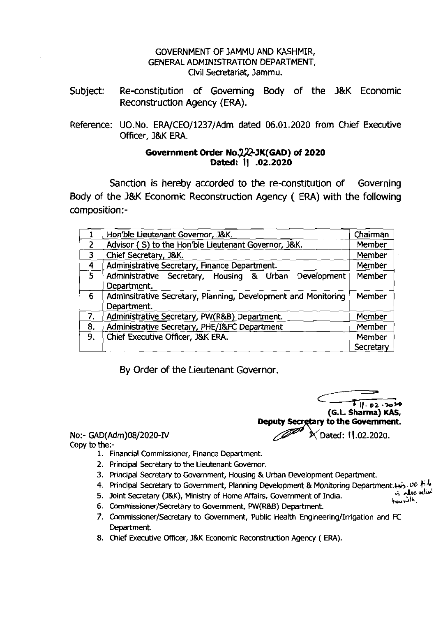## GOVERNMENT OF JAMMU AND KASHMIR, GENERAL ADMINISTRATION DEPARTMENT, Civil Secretariat, Jammu.

- Subject: Re-constitution of Governing Body of the **J&K** Economic Reconstruction Agency (ERA).
- Reference: UO.No. ERA/CE0/1237/Adm dated 06.01.2020 from Chief Executive Officer, J&K ERA.

## **Government Order NO=JK(GAD) of 2020 Dated: 11 .02.2020**

Sanction is hereby accorded to the re-constitution of Governing Body of the **J&K** Economic Reconstruction Agency ( ERA) with the following composition:-

|                | Hon'ble Lieutenant Governor, J&K.                                             | Chairman                   |
|----------------|-------------------------------------------------------------------------------|----------------------------|
| $\overline{2}$ | Advisor (S) to the Hon'ble Lieutenant Governor, J&K.                          | Member                     |
| 3              | Chief Secretary, J&K.                                                         | Member                     |
| 4              | Administrative Secretary, Finance Department.                                 | Member                     |
| 5              | Administrative Secretary, Housing & Urban<br>Development<br>Department.       | Member                     |
| 6              | Adminsitrative Secretary, Planning, Development and Monitoring<br>Department. | Member                     |
| 7.             | Administrative Secretary, PW(R&B) Department.                                 | Member                     |
| 8.             | Administrative Secretary, PHE/I&FC Department                                 | Member                     |
| 9.             | Chief Executive Officer, J&K ERA.                                             | Member<br><b>Secretary</b> |

By Order of the Lieutenant Governor.

**Til. 02.3020 (G.L. Sharma) KAS, Deputy Secretary to the Government.** No:- GAD(Adm)08/2020-IV  $\sqrt{2}$  X Dated: 11.02.2020.

Copy to the:-

- 1. Financial Commissioner, Finance Department.
- 2. Principal Secretary to the Lieutenant Governor.
- 3. Principal Secretary to Government, Housing & Urban Development Department.
- 4. Principal Secretary to Government, Planning Development & Monitoring Department.  $44\frac{1}{2}$ ,  $40$  film<br>5. Joint Secretary (J&K), Ministry of Home Affairs, Government of India.
- 5. Joint Secretary (J&K), Ministry of Home Affairs, Government of India.
- 6. Commissioner/Secretary to Government, PW(R&B) Department.
- 7. Commissioner/Secretary to Government, Public Health Engineering/Irrigation and FC Department.
- 8. Chief Executive Officer, J&K Economic Reconstruction Agency (ERA).